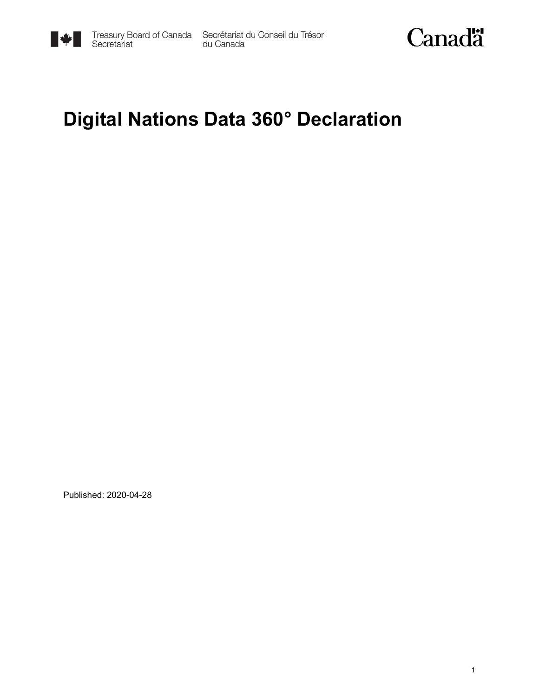

Treasury Board of Canada Secrétariat du Conseil du Trésor<br>Secretariat du Canada



#### **Digital Nations Data 360° Declaration**

Published: 2020-04-28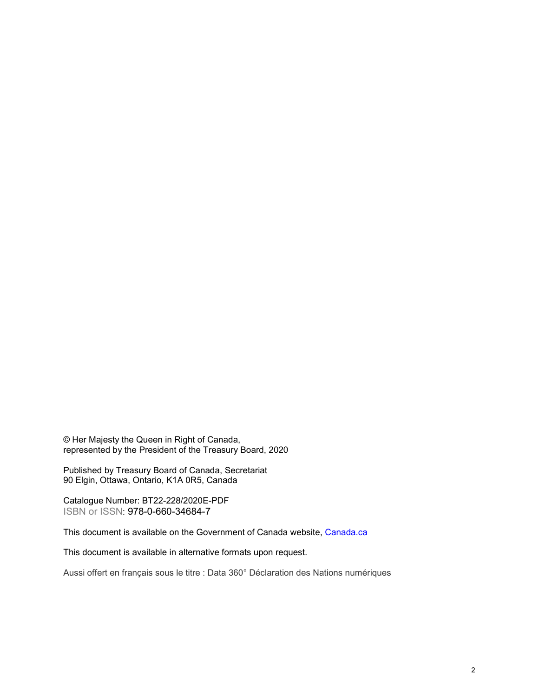© Her Majesty the Queen in Right of Canada, represented by the President of the Treasury Board, 2020

Published by Treasury Board of Canada, Secretariat 90 Elgin, Ottawa, Ontario, K1A 0R5, Canada

Catalogue Number: BT22-228/2020E-PDF ISBN or ISSN: 978-0-660-34684-7

This document is available on the Government of Canada website, [Canada.](https://www.canada.ca/en.html)ca

This document is available in alternative formats upon request.

Aussi offert en français sous le titre : Data 360° Déclaration des Nations numériques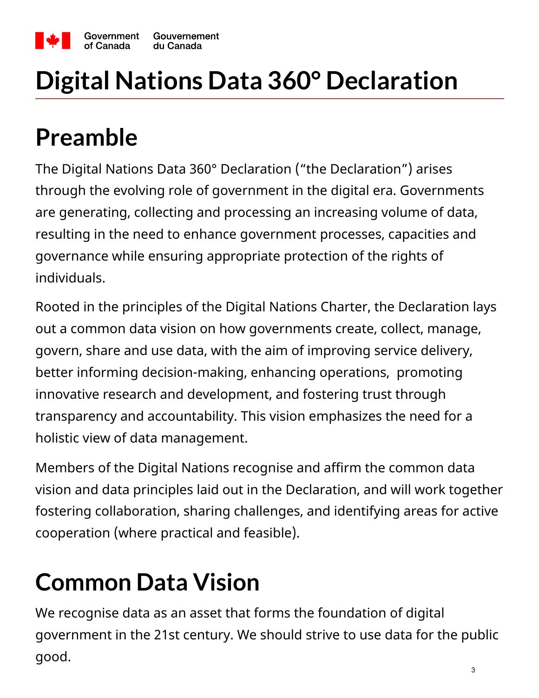

# **Digital Nations Data 360° Declaration**

### **Preamble**

The Digital Nations Data 360° Declaration ("the Declaration") arises through the evolving role of government in the digital era. Governments are generating, collecting and processing an increasing volume of data, resulting in the need to enhance government processes, capacities and governance while ensuring appropriate protection of the rights of individuals.

Rooted in the principles of the Digital Nations Charter, the Declaration lays out a common data vision on how governments create, collect, manage, govern, share and use data, with the aim of improving service delivery, better informing decision-making, enhancing operations, promoting innovative research and development, and fostering trust through transparency and accountability. This vision emphasizes the need for a holistic view of data management.

Members of the Digital Nations recognise and affirm the common data vision and data principles laid out in the Declaration, and will work together fostering collaboration, sharing challenges, and identifying areas for active cooperation (where practical and feasible).

## **Common Data Vision**

We recognise data as an asset that forms the foundation of digital government in the 21st century. We should strive to use data for the public good.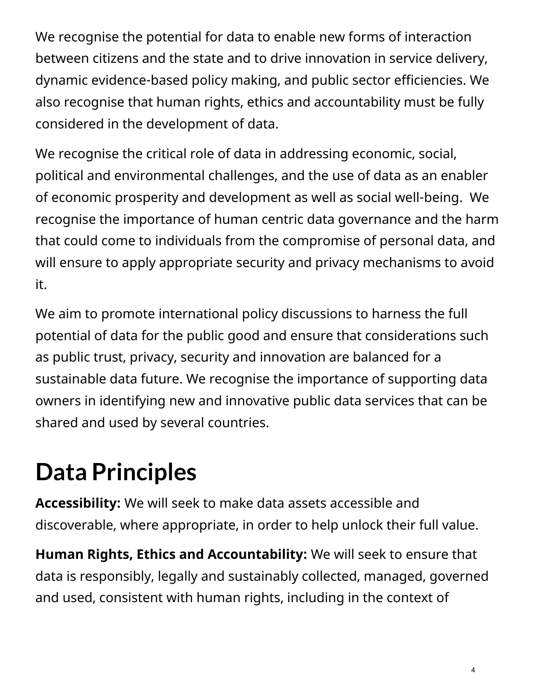We recognise the potential for data to enable new forms of interaction between citizens and the state and to drive innovation in service delivery, dynamic evidence-based policy making, and public sector efficiencies. We also recognise that human rights, ethics and accountability must be fully considered in the development of data.

We recognise the critical role of data in addressing economic, social, political and environmental challenges, and the use of data as an enabler of economic prosperity and development as well as social well-being. We recognise the importance of human centric data governance and the harm that could come to individuals from the compromise of personal data, and will ensure to apply appropriate security and privacy mechanisms to avoid it.

We aim to promote international policy discussions to harness the full potential of data for the public good and ensure that considerations such as public trust, privacy, security and innovation are balanced for a sustainable data future. We recognise the importance of supporting data owners in identifying new and innovative public data services that can be shared and used by several countries.

## **Data Principles**

**Accessibility:** We will seek to make data assets accessible and discoverable, where appropriate, in order to help unlock their full value.

**Human Rights, Ethics and Accountability:** We will seek to ensure that data is responsibly, legally and sustainably collected, managed, governed and used, consistent with human rights, including in the context of